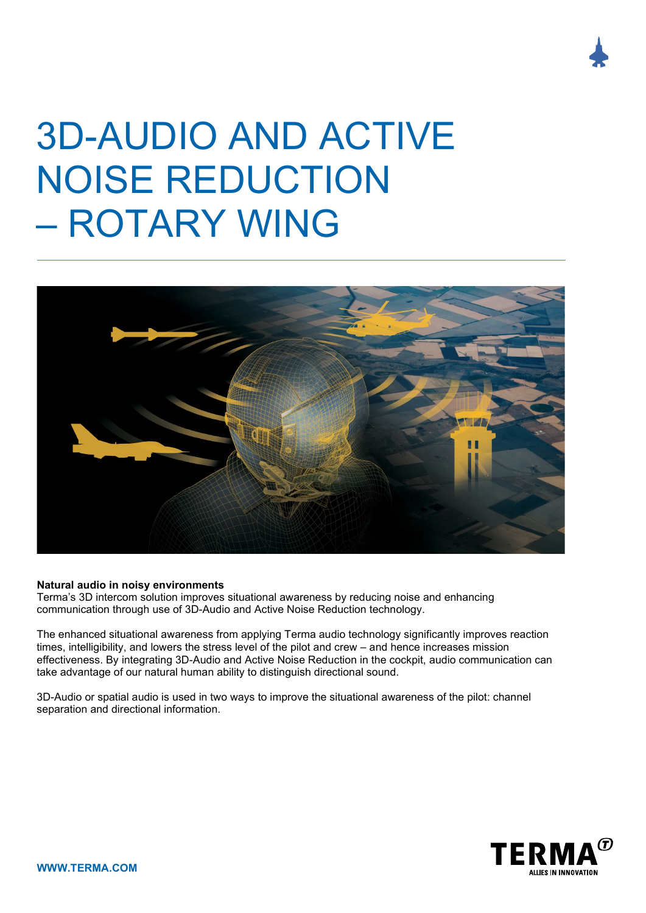## 3D-AUDIO AND ACTIVE NOISE REDUCTION – ROTARY WING



## **Natural audio in noisy environments**

Terma's 3D intercom solution improves situational awareness by reducing noise and enhancing communication through use of 3D-Audio and Active Noise Reduction technology.

The enhanced situational awareness from applying Terma audio technology significantly improves reaction times, intelligibility, and lowers the stress level of the pilot and crew – and hence increases mission effectiveness. By integrating 3D-Audio and Active Noise Reduction in the cockpit, audio communication can take advantage of our natural human ability to distinguish directional sound.

3D-Audio or spatial audio is used in two ways to improve the situational awareness of the pilot: channel separation and directional information.

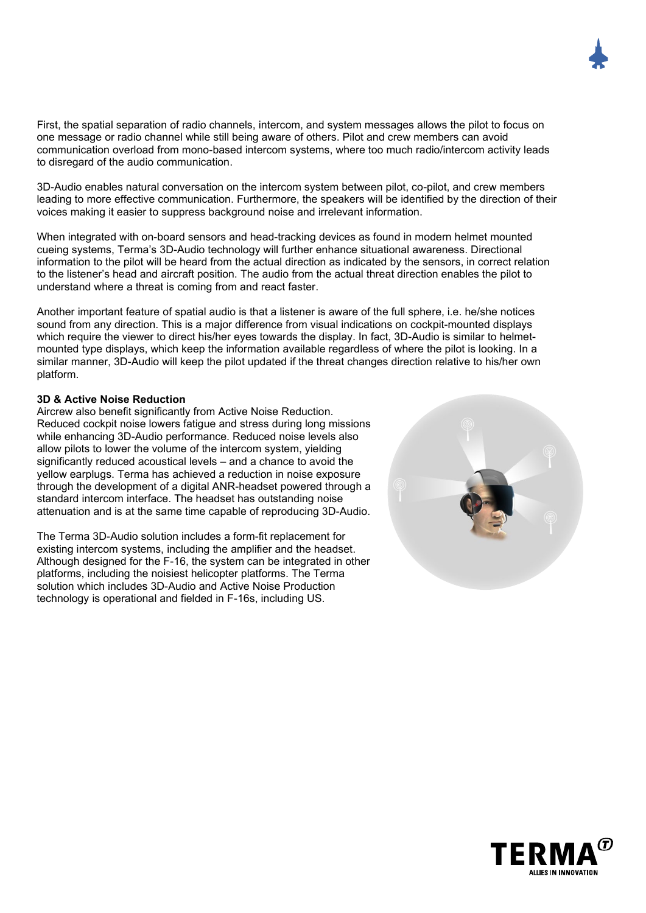First, the spatial separation of radio channels, intercom, and system messages allows the pilot to focus on one message or radio channel while still being aware of others. Pilot and crew members can avoid communication overload from mono-based intercom systems, where too much radio/intercom activity leads to disregard of the audio communication.

3D-Audio enables natural conversation on the intercom system between pilot, co-pilot, and crew members leading to more effective communication. Furthermore, the speakers will be identified by the direction of their voices making it easier to suppress background noise and irrelevant information.

When integrated with on-board sensors and head-tracking devices as found in modern helmet mounted cueing systems, Terma's 3D-Audio technology will further enhance situational awareness. Directional information to the pilot will be heard from the actual direction as indicated by the sensors, in correct relation to the listener's head and aircraft position. The audio from the actual threat direction enables the pilot to understand where a threat is coming from and react faster.

Another important feature of spatial audio is that a listener is aware of the full sphere, i.e. he/she notices sound from any direction. This is a major difference from visual indications on cockpit-mounted displays which require the viewer to direct his/her eyes towards the display. In fact, 3D-Audio is similar to helmetmounted type displays, which keep the information available regardless of where the pilot is looking. In a similar manner, 3D-Audio will keep the pilot updated if the threat changes direction relative to his/her own platform.

## **3D & Active Noise Reduction**

Aircrew also benefit significantly from Active Noise Reduction. Reduced cockpit noise lowers fatigue and stress during long missions while enhancing 3D-Audio performance. Reduced noise levels also allow pilots to lower the volume of the intercom system, yielding significantly reduced acoustical levels – and a chance to avoid the yellow earplugs. Terma has achieved a reduction in noise exposure through the development of a digital ANR-headset powered through a standard intercom interface. The headset has outstanding noise attenuation and is at the same time capable of reproducing 3D-Audio.

The Terma 3D-Audio solution includes a form-fit replacement for existing intercom systems, including the amplifier and the headset. Although designed for the F-16, the system can be integrated in other platforms, including the noisiest helicopter platforms. The Terma solution which includes 3D-Audio and Active Noise Production technology is operational and fielded in F-16s, including US.